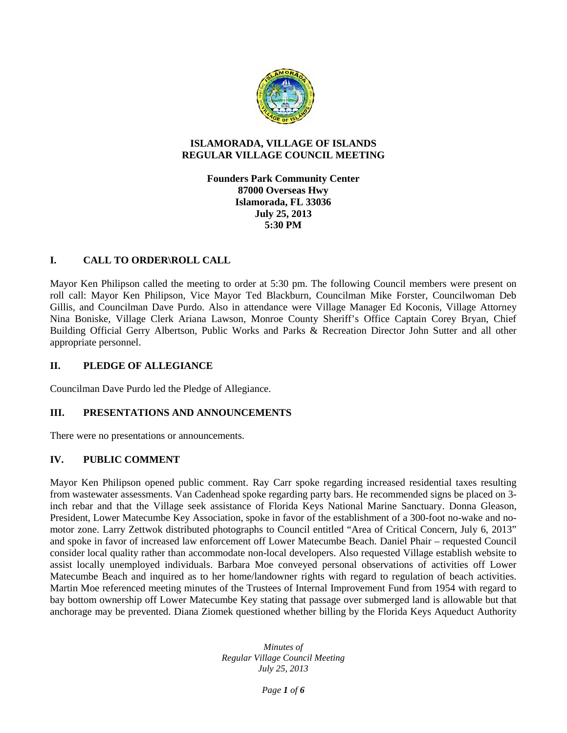

#### **ISLAMORADA, VILLAGE OF ISLANDS REGULAR VILLAGE COUNCIL MEETING**

**Founders Park Community Center 87000 Overseas Hwy Islamorada, FL 33036 July 25, 2013 5:30 PM**

# **I. CALL TO ORDER\ROLL CALL**

Mayor Ken Philipson called the meeting to order at 5:30 pm. The following Council members were present on roll call: Mayor Ken Philipson, Vice Mayor Ted Blackburn, Councilman Mike Forster, Councilwoman Deb Gillis, and Councilman Dave Purdo. Also in attendance were Village Manager Ed Koconis, Village Attorney Nina Boniske, Village Clerk Ariana Lawson, Monroe County Sheriff's Office Captain Corey Bryan, Chief Building Official Gerry Albertson, Public Works and Parks & Recreation Director John Sutter and all other appropriate personnel.

# **II. PLEDGE OF ALLEGIANCE**

Councilman Dave Purdo led the Pledge of Allegiance.

# **III. PRESENTATIONS AND ANNOUNCEMENTS**

There were no presentations or announcements.

# **IV. PUBLIC COMMENT**

Mayor Ken Philipson opened public comment. Ray Carr spoke regarding increased residential taxes resulting from wastewater assessments. Van Cadenhead spoke regarding party bars. He recommended signs be placed on 3 inch rebar and that the Village seek assistance of Florida Keys National Marine Sanctuary. Donna Gleason, President, Lower Matecumbe Key Association, spoke in favor of the establishment of a 300-foot no-wake and no motor zone. Larry Zettwok distributed photographs to Council entitled "Area of Critical Concern, July 6, 2013" and spoke in favor of increased law enforcement off Lower Matecumbe Beach. Daniel Phair – requested Council consider local quality rather than accommodate non-local developers. Also requested Village establish website to assist locally unemployed individuals. Barbara Moe conveyed personal observations of activities off Lower Matecumbe Beach and inquired as to her home/landowner rights with regard to regulation of beach activities. Martin Moe referenced meeting minutes of the Trustees of Internal Improvement Fund from 1954 with regard to bay bottom ownership off Lower Matecumbe Key stating that passage over submerged land is allowable but that anchorage may be prevented. Diana Ziomek questioned whether billing by the Florida Keys Aqueduct Authority

> *Minutes of Regular Village Council Meeting July 25, 2013*

> > *Page 1 of 6*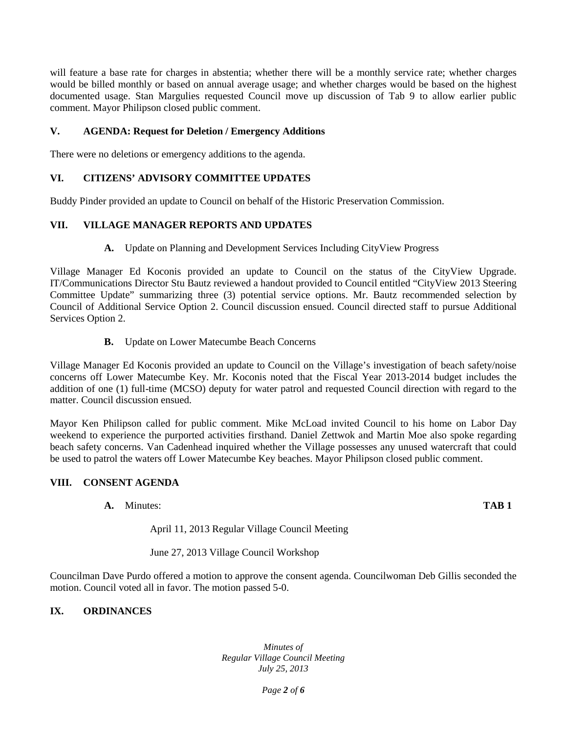will feature a base rate for charges in abstentia; whether there will be a monthly service rate; whether charges would be billed monthly or based on annual average usage; and whether charges would be based on the highest documented usage. Stan Margulies requested Council move up discussion of Tab 9 to allow earlier public comment. Mayor Philipson closed public comment.

### **V. AGENDA: Request for Deletion / Emergency Additions**

There were no deletions or emergency additions to the agenda.

# **VI. CITIZENS' ADVISORY COMMITTEE UPDATES**

Buddy Pinder provided an update to Council on behalf of the Historic Preservation Commission.

## **VII. VILLAGE MANAGER REPORTS AND UPDATES**

**A.** Update on Planning and Development Services Including CityView Progress

Village Manager Ed Koconis provided an update to Council on the status of the CityView Upgrade. IT/Communications Director Stu Bautz reviewed a handout provided to Council entitled "CityView 2013 Steering Committee Update" summarizing three (3) potential service options. Mr. Bautz recommended selection by Council of Additional Service Option 2. Council discussion ensued. Council directed staff to pursue Additional Services Option 2.

**B.** Update on Lower Matecumbe Beach Concerns

Village Manager Ed Koconis provided an update to Council on the Village's investigation of beach safety/noise concerns off Lower Matecumbe Key. Mr. Koconis noted that the Fiscal Year 2013-2014 budget includes the addition of one (1) full-time (MCSO) deputy for water patrol and requested Council direction with regard to the matter. Council discussion ensued.

Mayor Ken Philipson called for public comment. Mike McLoad invited Council to his home on Labor Day weekend to experience the purported activities firsthand. Daniel Zettwok and Martin Moe also spoke regarding beach safety concerns. Van Cadenhead inquired whether the Village possesses any unused watercraft that could be used to patrol the waters off Lower Matecumbe Key beaches. Mayor Philipson closed public comment.

# **VIII. CONSENT AGENDA**

**A.** Minutes: **TAB 1**

April 11, 2013 Regular Village Council Meeting

June 27, 2013 Village Council Workshop

Councilman Dave Purdo offered a motion to approve the consent agenda. Councilwoman Deb Gillis seconded the motion. Council voted all in favor. The motion passed 5-0.

# **IX. ORDINANCES**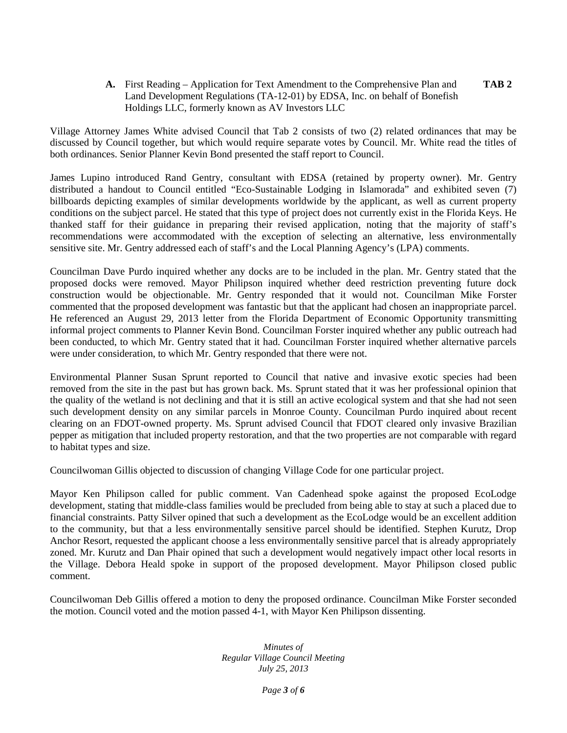**A.** First Reading – Application for Text Amendment to the Comprehensive Plan and **TAB 2** Land Development Regulations (TA-12-01) by EDSA, Inc. on behalf of Bonefish Holdings LLC, formerly known as AV Investors LLC

Village Attorney James White advised Council that Tab 2 consists of two (2) related ordinances that may be discussed by Council together, but which would require separate votes by Council. Mr. White read the titles of both ordinances. Senior Planner Kevin Bond presented the staff report to Council.

James Lupino introduced Rand Gentry, consultant with EDSA (retained by property owner). Mr. Gentry distributed a handout to Council entitled "Eco-Sustainable Lodging in Islamorada" and exhibited seven (7) billboards depicting examples of similar developments worldwide by the applicant, as well as current property conditions on the subject parcel. He stated that this type of project does not currently exist in the Florida Keys. He thanked staff for their guidance in preparing their revised application, noting that the majority of staff's recommendations were accommodated with the exception of selecting an alternative, less environmentally sensitive site. Mr. Gentry addressed each of staff's and the Local Planning Agency's (LPA) comments.

Councilman Dave Purdo inquired whether any docks are to be included in the plan. Mr. Gentry stated that the proposed docks were removed. Mayor Philipson inquired whether deed restriction preventing future dock construction would be objectionable. Mr. Gentry responded that it would not. Councilman Mike Forster commented that the proposed development was fantastic but that the applicant had chosen an inappropriate parcel. He referenced an August 29, 2013 letter from the Florida Department of Economic Opportunity transmitting informal project comments to Planner Kevin Bond. Councilman Forster inquired whether any public outreach had been conducted, to which Mr. Gentry stated that it had. Councilman Forster inquired whether alternative parcels were under consideration, to which Mr. Gentry responded that there were not.

Environmental Planner Susan Sprunt reported to Council that native and invasive exotic species had been removed from the site in the past but has grown back. Ms. Sprunt stated that it was her professional opinion that the quality of the wetland is not declining and that it is still an active ecological system and that she had not seen such development density on any similar parcels in Monroe County. Councilman Purdo inquired about recent clearing on an FDOT-owned property. Ms. Sprunt advised Council that FDOT cleared only invasive Brazilian pepper as mitigation that included property restoration, and that the two properties are not comparable with regard to habitat types and size.

Councilwoman Gillis objected to discussion of changing Village Code for one particular project.

Mayor Ken Philipson called for public comment. Van Cadenhead spoke against the proposed EcoLodge development, stating that middle-class families would be precluded from being able to stay at such a placed due to financial constraints. Patty Silver opined that such a development as the EcoLodge would be an excellent addition to the community, but that a less environmentally sensitive parcel should be identified. Stephen Kurutz, Drop Anchor Resort, requested the applicant choose a less environmentally sensitive parcel that is already appropriately zoned. Mr. Kurutz and Dan Phair opined that such a development would negatively impact other local resorts in the Village. Debora Heald spoke in support of the proposed development. Mayor Philipson closed public comment.

Councilwoman Deb Gillis offered a motion to deny the proposed ordinance. Councilman Mike Forster seconded the motion. Council voted and the motion passed 4-1, with Mayor Ken Philipson dissenting.

> *Minutes of Regular Village Council Meeting July 25, 2013*

> > *Page 3 of 6*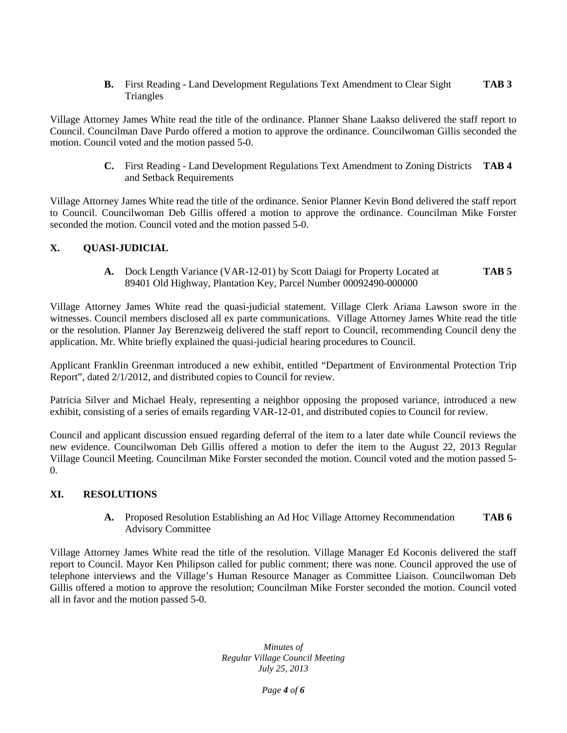**B.** First Reading - Land Development Regulations Text Amendment to Clear Sight **TAB 3 Triangles** 

Village Attorney James White read the title of the ordinance. Planner Shane Laakso delivered the staff report to Council. Councilman Dave Purdo offered a motion to approve the ordinance. Councilwoman Gillis seconded the motion. Council voted and the motion passed 5-0.

> **C.** First Reading - Land Development Regulations Text Amendment to Zoning Districts **TAB 4** and Setback Requirements

Village Attorney James White read the title of the ordinance. Senior Planner Kevin Bond delivered the staff report to Council. Councilwoman Deb Gillis offered a motion to approve the ordinance. Councilman Mike Forster seconded the motion. Council voted and the motion passed 5-0.

## **X. QUASI-JUDICIAL**

**A.** Dock Length Variance (VAR-12-01) by Scott Daiagi for Property Located at **TAB 5** 89401 Old Highway, Plantation Key, Parcel Number 00092490-000000

Village Attorney James White read the quasi-judicial statement. Village Clerk Ariana Lawson swore in the witnesses. Council members disclosed all ex parte communications. Village Attorney James White read the title or the resolution. Planner Jay Berenzweig delivered the staff report to Council, recommending Council deny the application. Mr. White briefly explained the quasi-judicial hearing procedures to Council.

Applicant Franklin Greenman introduced a new exhibit, entitled "Department of Environmental Protection Trip Report", dated 2/1/2012, and distributed copies to Council for review.

Patricia Silver and Michael Healy, representing a neighbor opposing the proposed variance, introduced a new exhibit, consisting of a series of emails regarding VAR-12-01, and distributed copies to Council for review.

Council and applicant discussion ensued regarding deferral of the item to a later date while Council reviews the new evidence. Councilwoman Deb Gillis offered a motion to defer the item to the August 22, 2013 Regular Village Council Meeting. Councilman Mike Forster seconded the motion. Council voted and the motion passed 5- 0.

### **XI. RESOLUTIONS**

**A.** Proposed Resolution Establishing an Ad Hoc Village Attorney Recommendation **TAB 6** Advisory Committee

Village Attorney James White read the title of the resolution. Village Manager Ed Koconis delivered the staff report to Council. Mayor Ken Philipson called for public comment; there was none. Council approved the use of telephone interviews and the Village's Human Resource Manager as Committee Liaison. Councilwoman Deb Gillis offered a motion to approve the resolution; Councilman Mike Forster seconded the motion. Council voted all in favor and the motion passed 5-0.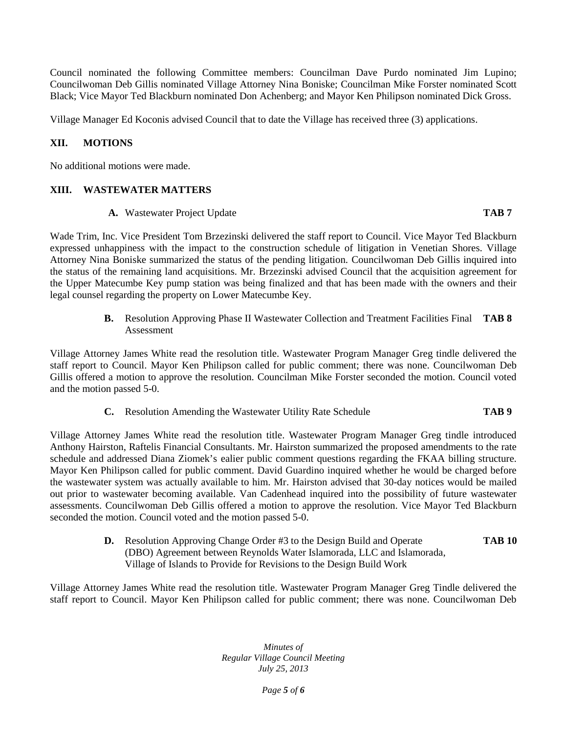Council nominated the following Committee members: Councilman Dave Purdo nominated Jim Lupino; Councilwoman Deb Gillis nominated Village Attorney Nina Boniske; Councilman Mike Forster nominated Scott Black; Vice Mayor Ted Blackburn nominated Don Achenberg; and Mayor Ken Philipson nominated Dick Gross.

Village Manager Ed Koconis advised Council that to date the Village has received three (3) applications.

# **XII. MOTIONS**

No additional motions were made.

### **XIII. WASTEWATER MATTERS**

**A.** Wastewater Project Update **TAB 7**

Wade Trim, Inc. Vice President Tom Brzezinski delivered the staff report to Council. Vice Mayor Ted Blackburn expressed unhappiness with the impact to the construction schedule of litigation in Venetian Shores. Village Attorney Nina Boniske summarized the status of the pending litigation. Councilwoman Deb Gillis inquired into the status of the remaining land acquisitions. Mr. Brzezinski advised Council that the acquisition agreement for the Upper Matecumbe Key pump station was being finalized and that has been made with the owners and their legal counsel regarding the property on Lower Matecumbe Key.

> **B.** Resolution Approving Phase II Wastewater Collection and Treatment Facilities Final **TAB 8** Assessment

Village Attorney James White read the resolution title. Wastewater Program Manager Greg tindle delivered the staff report to Council. Mayor Ken Philipson called for public comment; there was none. Councilwoman Deb Gillis offered a motion to approve the resolution. Councilman Mike Forster seconded the motion. Council voted and the motion passed 5-0.

**C.** Resolution Amending the Wastewater Utility Rate Schedule **TAB 9**

Village Attorney James White read the resolution title. Wastewater Program Manager Greg tindle introduced Anthony Hairston, Raftelis Financial Consultants. Mr. Hairston summarized the proposed amendments to the rate schedule and addressed Diana Ziomek's ealier public comment questions regarding the FKAA billing structure. Mayor Ken Philipson called for public comment. David Guardino inquired whether he would be charged before the wastewater system was actually available to him. Mr. Hairston advised that 30-day notices would be mailed out prior to wastewater becoming available. Van Cadenhead inquired into the possibility of future wastewater assessments. Councilwoman Deb Gillis offered a motion to approve the resolution. Vice Mayor Ted Blackburn seconded the motion. Council voted and the motion passed 5-0.

> **D.** Resolution Approving Change Order #3 to the Design Build and Operate **TAB 10** (DBO) Agreement between Reynolds Water Islamorada, LLC and Islamorada, Village of Islands to Provide for Revisions to the Design Build Work

Village Attorney James White read the resolution title. Wastewater Program Manager Greg Tindle delivered the staff report to Council. Mayor Ken Philipson called for public comment; there was none. Councilwoman Deb